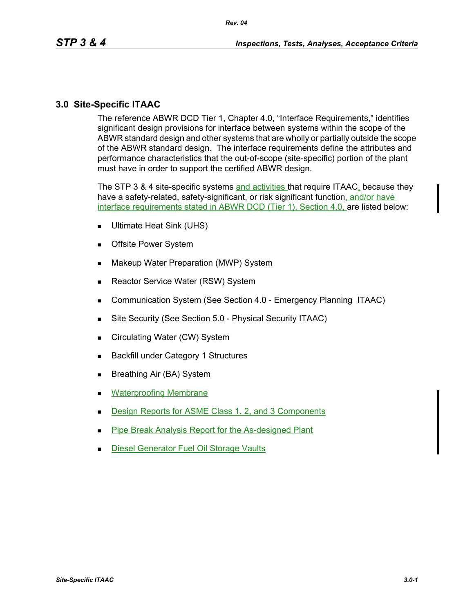### **3.0 Site-Specific ITAAC**

The reference ABWR DCD Tier 1, Chapter 4.0, "Interface Requirements," identifies significant design provisions for interface between systems within the scope of the ABWR standard design and other systems that are wholly or partially outside the scope of the ABWR standard design. The interface requirements define the attributes and performance characteristics that the out-of-scope (site-specific) portion of the plant must have in order to support the certified ABWR design.

The STP 3 & 4 site-specific systems and activities that require ITAAC, because they have a safety-related, safety-significant, or risk significant function, and/or have interface requirements stated in ABWR DCD (Tier 1), Section 4.0, are listed below:

- Ultimate Heat Sink (UHS)
- **Deb** Offsite Power System
- **Makeup Water Preparation (MWP) System**
- Reactor Service Water (RSW) System
- **Communication System (See Section 4.0 Emergency Planning ITAAC)**
- Site Security (See Section 5.0 Physical Security ITAAC)
- Circulating Water (CW) System
- **Backfill under Category 1 Structures**
- **Breathing Air (BA) System**
- **Waterproofing Membrane**
- Design Reports for ASME Class 1, 2, and 3 Components
- Pipe Break Analysis Report for the As-designed Plant
- Diesel Generator Fuel Oil Storage Vaults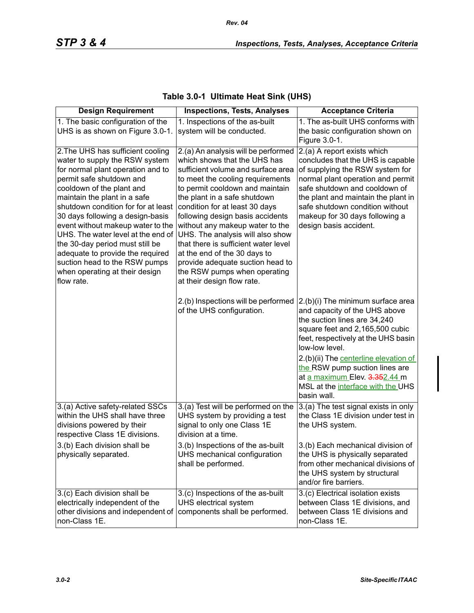| Table 3.0-1 Ultimate Heat Sink (UHS) |  |  |  |  |
|--------------------------------------|--|--|--|--|
|--------------------------------------|--|--|--|--|

| <b>Design Requirement</b>                                                                                                                                                                                                                                                                                                                                                                                                                                                                                       | <b>Inspections, Tests, Analyses</b>                                                                                                                                                                                                                                                                                                                                                                                                                                                                                                     | <b>Acceptance Criteria</b>                                                                                                                                                                                                                                                                                                                                        |
|-----------------------------------------------------------------------------------------------------------------------------------------------------------------------------------------------------------------------------------------------------------------------------------------------------------------------------------------------------------------------------------------------------------------------------------------------------------------------------------------------------------------|-----------------------------------------------------------------------------------------------------------------------------------------------------------------------------------------------------------------------------------------------------------------------------------------------------------------------------------------------------------------------------------------------------------------------------------------------------------------------------------------------------------------------------------------|-------------------------------------------------------------------------------------------------------------------------------------------------------------------------------------------------------------------------------------------------------------------------------------------------------------------------------------------------------------------|
| 1. The basic configuration of the<br>UHS is as shown on Figure 3.0-1.                                                                                                                                                                                                                                                                                                                                                                                                                                           | 1. Inspections of the as-built<br>system will be conducted.                                                                                                                                                                                                                                                                                                                                                                                                                                                                             | 1. The as-built UHS conforms with<br>the basic configuration shown on<br>Figure 3.0-1.                                                                                                                                                                                                                                                                            |
| 2. The UHS has sufficient cooling<br>water to supply the RSW system<br>for normal plant operation and to<br>permit safe shutdown and<br>cooldown of the plant and<br>maintain the plant in a safe<br>shutdown condition for for at least<br>30 days following a design-basis<br>event without makeup water to the<br>UHS. The water level at the end of<br>the 30-day period must still be<br>adequate to provide the required<br>suction head to the RSW pumps<br>when operating at their design<br>flow rate. | 2.(a) An analysis will be performed<br>which shows that the UHS has<br>sufficient volume and surface area<br>to meet the cooling requirements<br>to permit cooldown and maintain<br>the plant in a safe shutdown<br>condition for at least 30 days<br>following design basis accidents<br>without any makeup water to the<br>UHS. The analysis will also show<br>that there is sufficient water level<br>at the end of the 30 days to<br>provide adequate suction head to<br>the RSW pumps when operating<br>at their design flow rate. | 2.(a) A report exists which<br>concludes that the UHS is capable<br>of supplying the RSW system for<br>normal plant operation and permit<br>safe shutdown and cooldown of<br>the plant and maintain the plant in<br>safe shutdown condition without<br>makeup for 30 days following a<br>design basis accident.                                                   |
|                                                                                                                                                                                                                                                                                                                                                                                                                                                                                                                 | 2.(b) Inspections will be performed<br>of the UHS configuration.                                                                                                                                                                                                                                                                                                                                                                                                                                                                        | $(2.(b)(i)$ The minimum surface area<br>and capacity of the UHS above<br>the suction lines are 34,240<br>square feet and 2,165,500 cubic<br>feet, respectively at the UHS basin<br>low-low level.<br>2.(b)(ii) The centerline elevation of<br>the RSW pump suction lines are<br>at a maximum Elev. 3.352.44 m<br>MSL at the interface with the UHS<br>basin wall. |
| 3.(a) Active safety-related SSCs<br>within the UHS shall have three<br>divisions powered by their<br>respective Class 1E divisions.                                                                                                                                                                                                                                                                                                                                                                             | 3.(a) Test will be performed on the<br>UHS system by providing a test<br>signal to only one Class 1E<br>division at a time.                                                                                                                                                                                                                                                                                                                                                                                                             | 3.(a) The test signal exists in only<br>the Class 1E division under test in<br>the UHS system.                                                                                                                                                                                                                                                                    |
| 3.(b) Each division shall be<br>physically separated.                                                                                                                                                                                                                                                                                                                                                                                                                                                           | 3.(b) Inspections of the as-built<br>UHS mechanical configuration<br>shall be performed.                                                                                                                                                                                                                                                                                                                                                                                                                                                | 3.(b) Each mechanical division of<br>the UHS is physically separated<br>from other mechanical divisions of<br>the UHS system by structural<br>and/or fire barriers.                                                                                                                                                                                               |
| 3.(c) Each division shall be<br>electrically independent of the<br>other divisions and independent of<br>non-Class 1E.                                                                                                                                                                                                                                                                                                                                                                                          | 3.(c) Inspections of the as-built<br>UHS electrical system<br>components shall be performed.                                                                                                                                                                                                                                                                                                                                                                                                                                            | 3.(c) Electrical isolation exists<br>between Class 1E divisions, and<br>between Class 1E divisions and<br>non-Class 1E.                                                                                                                                                                                                                                           |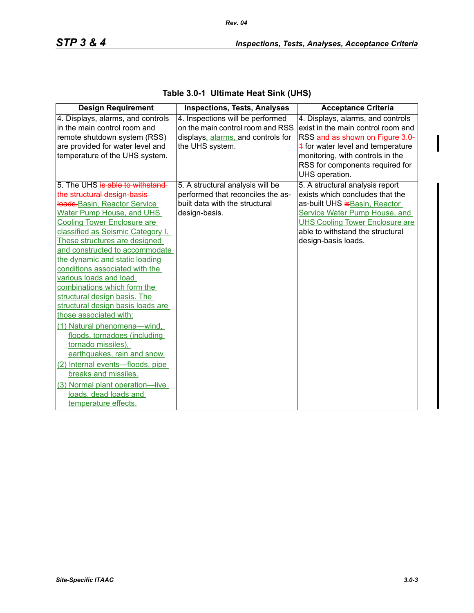| <b>Design Requirement</b>          | <b>Inspections, Tests, Analyses</b> | <b>Acceptance Criteria</b>             |
|------------------------------------|-------------------------------------|----------------------------------------|
| 4. Displays, alarms, and controls  | 4. Inspections will be performed    | 4. Displays, alarms, and controls      |
| in the main control room and       | on the main control room and RSS    | exist in the main control room and     |
| remote shutdown system (RSS)       | displays, alarms, and controls for  | RSS and as shown on Figure 3.0-        |
| are provided for water level and   | the UHS system.                     | 4 for water level and temperature      |
| temperature of the UHS system.     |                                     | monitoring, with controls in the       |
|                                    |                                     | RSS for components required for        |
|                                    |                                     | UHS operation.                         |
| 5. The UHS is able to withstand    | 5. A structural analysis will be    | 5. A structural analysis report        |
| the structural design basis-       | performed that reconciles the as-   | exists which concludes that the        |
| loads-Basin, Reactor Service       | built data with the structural      | as-built UHS isBasin, Reactor          |
| <b>Water Pump House, and UHS</b>   | design-basis.                       | Service Water Pump House, and          |
| <b>Cooling Tower Enclosure are</b> |                                     | <b>UHS Cooling Tower Enclosure are</b> |
| classified as Seismic Category I.  |                                     | able to withstand the structural       |
| These structures are designed      |                                     | design-basis loads.                    |
| and constructed to accommodate     |                                     |                                        |
| the dynamic and static loading     |                                     |                                        |
| conditions associated with the     |                                     |                                        |
| various loads and load             |                                     |                                        |
| combinations which form the        |                                     |                                        |
| structural design basis. The       |                                     |                                        |
| structural design basis loads are  |                                     |                                        |
| those associated with:             |                                     |                                        |
| (1) Natural phenomena-wind,        |                                     |                                        |
| floods, tornadoes (including       |                                     |                                        |
| tornado missiles),                 |                                     |                                        |
| earthquakes, rain and snow.        |                                     |                                        |
| (2) Internal events—floods, pipe   |                                     |                                        |
| breaks and missiles.               |                                     |                                        |
| (3) Normal plant operation-live    |                                     |                                        |
| loads, dead loads and              |                                     |                                        |
| temperature effects.               |                                     |                                        |

## **Table 3.0-1 Ultimate Heat Sink (UHS)**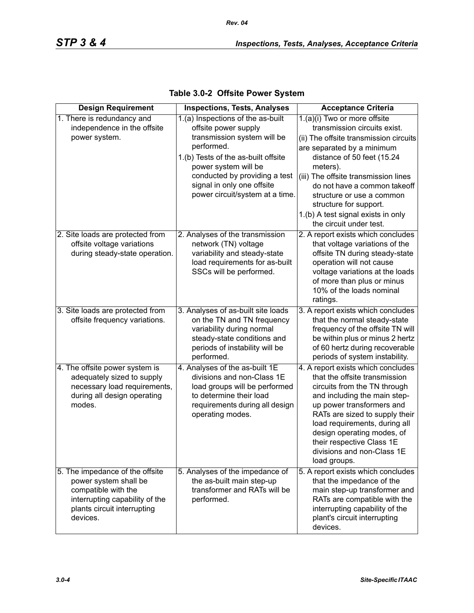| <b>Design Requirement</b>                                                                                                                                    | <b>Inspections, Tests, Analyses</b>                                                                                                                                                                                                                                     | <b>Acceptance Criteria</b>                                                                                                                                                                                                                                                                                                                                                     |
|--------------------------------------------------------------------------------------------------------------------------------------------------------------|-------------------------------------------------------------------------------------------------------------------------------------------------------------------------------------------------------------------------------------------------------------------------|--------------------------------------------------------------------------------------------------------------------------------------------------------------------------------------------------------------------------------------------------------------------------------------------------------------------------------------------------------------------------------|
| 1. There is redundancy and<br>independence in the offsite<br>power system.                                                                                   | 1.(a) Inspections of the as-built<br>offsite power supply<br>transmission system will be<br>performed.<br>1.(b) Tests of the as-built offsite<br>power system will be<br>conducted by providing a test<br>signal in only one offsite<br>power circuit/system at a time. | 1.(a)(i) Two or more offsite<br>transmission circuits exist.<br>(ii) The offsite transmission circuits<br>are separated by a minimum<br>distance of 50 feet (15.24<br>meters).<br>(iii) The offsite transmission lines<br>do not have a common takeoff<br>structure or use a common<br>structure for support.<br>1.(b) A test signal exists in only<br>the circuit under test. |
| 2. Site loads are protected from<br>offsite voltage variations<br>during steady-state operation.                                                             | 2. Analyses of the transmission<br>network (TN) voltage<br>variability and steady-state<br>load requirements for as-built<br>SSCs will be performed.                                                                                                                    | 2. A report exists which concludes<br>that voltage variations of the<br>offsite TN during steady-state<br>operation will not cause<br>voltage variations at the loads<br>of more than plus or minus<br>10% of the loads nominal<br>ratings.                                                                                                                                    |
| 3. Site loads are protected from<br>offsite frequency variations.                                                                                            | 3. Analyses of as-built site loads<br>on the TN and TN frequency<br>variability during normal<br>steady-state conditions and<br>periods of instability will be<br>performed.                                                                                            | 3. A report exists which concludes<br>that the normal steady-state<br>frequency of the offsite TN will<br>be within plus or minus 2 hertz<br>of 60 hertz during recoverable<br>periods of system instability.                                                                                                                                                                  |
| 4. The offsite power system is<br>adequately sized to supply<br>necessary load requirements,<br>during all design operating<br>modes.                        | 4. Analyses of the as-built 1E<br>divisions and non-Class 1E<br>load groups will be performed<br>to determine their load<br>requirements during all design<br>operating modes.                                                                                          | 4. A report exists which concludes<br>that the offsite transmission<br>circuits from the TN through<br>and including the main step-<br>up power transformers and<br>RATs are sized to supply their<br>load requirements, during all<br>design operating modes, of<br>their respective Class 1E<br>divisions and non-Class 1E<br>load groups.                                   |
| 5. The impedance of the offsite<br>power system shall be<br>compatible with the<br>interrupting capability of the<br>plants circuit interrupting<br>devices. | 5. Analyses of the impedance of<br>the as-built main step-up<br>transformer and RATs will be<br>performed.                                                                                                                                                              | 5. A report exists which concludes<br>that the impedance of the<br>main step-up transformer and<br>RATs are compatible with the<br>interrupting capability of the<br>plant's circuit interrupting<br>devices.                                                                                                                                                                  |

**Table 3.0-2 Offsite Power System**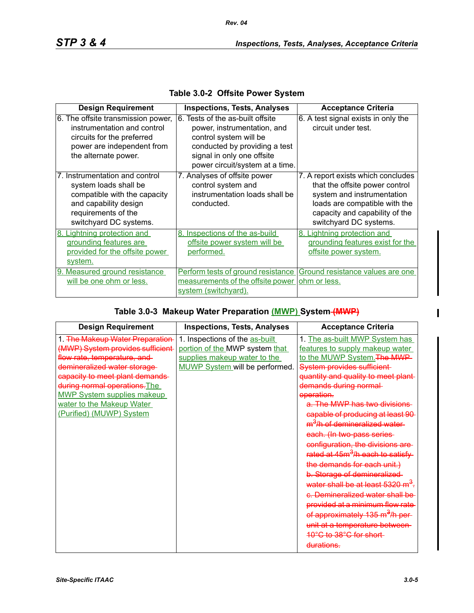| <b>Design Requirement</b>                                                                                                                                         | <b>Inspections, Tests, Analyses</b>                                                                                                                                                         | <b>Acceptance Criteria</b>                                                                                                                                                                      |
|-------------------------------------------------------------------------------------------------------------------------------------------------------------------|---------------------------------------------------------------------------------------------------------------------------------------------------------------------------------------------|-------------------------------------------------------------------------------------------------------------------------------------------------------------------------------------------------|
| 6. The offsite transmission power,<br>instrumentation and control<br>circuits for the preferred<br>power are independent from<br>the alternate power.             | 6. Tests of the as-built offsite<br>power, instrumentation, and<br>control system will be<br>conducted by providing a test<br>signal in only one offsite<br>power circuit/system at a time. | 6. A test signal exists in only the<br>circuit under test.                                                                                                                                      |
| 7. Instrumentation and control<br>system loads shall be<br>compatible with the capacity<br>and capability design<br>requirements of the<br>switchyard DC systems. | 7. Analyses of offsite power<br>control system and<br>instrumentation loads shall be<br>conducted.                                                                                          | 7. A report exists which concludes<br>that the offsite power control<br>system and instrumentation<br>loads are compatible with the<br>capacity and capability of the<br>switchyard DC systems. |
| 8. Lightning protection and<br>grounding features are<br>provided for the offsite power<br>system.                                                                | 8. Inspections of the as-build<br>offsite power system will be<br>performed.                                                                                                                | 8. Lightning protection and<br>grounding features exist for the<br>offsite power system.                                                                                                        |
| 9. Measured ground resistance<br>will be one ohm or less.                                                                                                         | Perform tests of ground resistance<br>measurements of the offsite power<br>system (switchyard).                                                                                             | Ground resistance values are one<br>ohm or less.                                                                                                                                                |

#### **Table 3.0-2 Offsite Power System**

## **Table 3.0-3 Makeup Water Preparation (MWP) System (MWP)**

| <b>Design Requirement</b>         | <b>Inspections, Tests, Analyses</b> | <b>Acceptance Criteria</b>                    |
|-----------------------------------|-------------------------------------|-----------------------------------------------|
| 1. The Makeup Water Preparation-  | 1. Inspections of the as-built      | 1. The as-built MWP System has                |
| (MWP) System provides sufficient- | portion of the MWP system that      | features to supply makeup water               |
| flow rate, temperature, and-      | supplies makeup water to the        | to the MUWP System. The MWP                   |
| demineralized water storage-      | MUWP System will be performed.      | System provides sufficient-                   |
| capacity to meet plant demands-   |                                     | quantity and quality to meet plant            |
| during normal operations. The     |                                     | demands during normal-                        |
| <b>MWP System supplies makeup</b> |                                     | operation.                                    |
| water to the Makeup Water         |                                     | a. The MWP has two divisions-                 |
| (Purified) (MUWP) System          |                                     | capable of producing at least 90              |
|                                   |                                     | m <sup>3</sup> /h of demineralized water-     |
|                                   |                                     | each. (In two pass series                     |
|                                   |                                     | configuration, the divisions are-             |
|                                   |                                     | rated at 45m <sup>3</sup> /h each to satisfy  |
|                                   |                                     | the demands for each unit.)                   |
|                                   |                                     | b. Storage of demineralized-                  |
|                                   |                                     | water shall be at least 5320 m <sup>3</sup> . |
|                                   |                                     | e. Demineralized water shall be               |
|                                   |                                     | provided at a minimum flow rate               |
|                                   |                                     | of approximately 135 m <sup>3</sup> /h per-   |
|                                   |                                     | unit at a temperature between-                |
|                                   |                                     | 10°C to 38°C for short                        |
|                                   |                                     | <del>durations.</del>                         |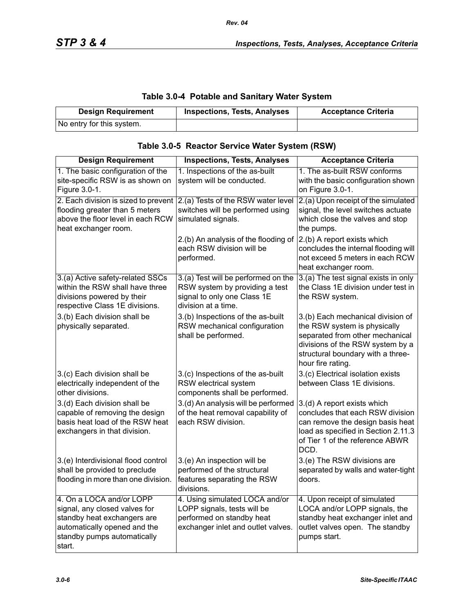## **Table 3.0-4 Potable and Sanitary Water System**

| <b>Design Requirement</b> | <b>Inspections, Tests, Analyses</b> | <b>Acceptance Criteria</b> |
|---------------------------|-------------------------------------|----------------------------|
| No entry for this system. |                                     |                            |

| <b>Design Requirement</b>                                                                                                                                         | <b>Inspections, Tests, Analyses</b>                                                                                              | <b>Acceptance Criteria</b>                                                                                                                                                                         |
|-------------------------------------------------------------------------------------------------------------------------------------------------------------------|----------------------------------------------------------------------------------------------------------------------------------|----------------------------------------------------------------------------------------------------------------------------------------------------------------------------------------------------|
| 1. The basic configuration of the<br>site-specific RSW is as shown on<br>Figure 3.0-1.                                                                            | 1. Inspections of the as-built<br>system will be conducted.                                                                      | 1. The as-built RSW conforms<br>with the basic configuration shown<br>on Figure 3.0-1.                                                                                                             |
| 2. Each division is sized to prevent<br>flooding greater than 5 meters<br>above the floor level in each RCW<br>heat exchanger room.                               | 2.(a) Tests of the RSW water level<br>switches will be performed using<br>simulated signals.                                     | 2.(a) Upon receipt of the simulated<br>signal, the level switches actuate<br>which close the valves and stop<br>the pumps.                                                                         |
|                                                                                                                                                                   | 2.(b) An analysis of the flooding of<br>each RSW division will be<br>performed.                                                  | 2.(b) A report exists which<br>concludes the internal flooding will<br>not exceed 5 meters in each RCW<br>heat exchanger room.                                                                     |
| 3.(a) Active safety-related SSCs<br>within the RSW shall have three<br>divisions powered by their<br>respective Class 1E divisions.                               | 3.(a) Test will be performed on the<br>RSW system by providing a test<br>signal to only one Class 1E<br>division at a time.      | 3.(a) The test signal exists in only<br>the Class 1E division under test in<br>the RSW system.                                                                                                     |
| 3.(b) Each division shall be<br>physically separated.                                                                                                             | 3.(b) Inspections of the as-built<br>RSW mechanical configuration<br>shall be performed.                                         | 3.(b) Each mechanical division of<br>the RSW system is physically<br>separated from other mechanical<br>divisions of the RSW system by a<br>structural boundary with a three-<br>hour fire rating. |
| 3.(c) Each division shall be<br>electrically independent of the<br>other divisions.                                                                               | 3.(c) Inspections of the as-built<br>RSW electrical system<br>components shall be performed.                                     | 3.(c) Electrical isolation exists<br>between Class 1E divisions.                                                                                                                                   |
| 3.(d) Each division shall be<br>capable of removing the design<br>basis heat load of the RSW heat<br>exchangers in that division.                                 | 3.(d) An analysis will be performed<br>of the heat removal capability of<br>each RSW division.                                   | 3.(d) A report exists which<br>concludes that each RSW division<br>can remove the design basis heat<br>load as specified in Section 2.11.3<br>of Tier 1 of the reference ABWR<br>DCD.              |
| 3.(e) Interdivisional flood control<br>shall be provided to preclude<br>flooding in more than one division.                                                       | 3.(e) An inspection will be<br>performed of the structural<br>features separating the RSW<br>divisions.                          | 3.(e) The RSW divisions are<br>separated by walls and water-tight<br>doors.                                                                                                                        |
| 4. On a LOCA and/or LOPP<br>signal, any closed valves for<br>standby heat exchangers are<br>automatically opened and the<br>standby pumps automatically<br>start. | 4. Using simulated LOCA and/or<br>LOPP signals, tests will be<br>performed on standby heat<br>exchanger inlet and outlet valves. | 4. Upon receipt of simulated<br>LOCA and/or LOPP signals, the<br>standby heat exchanger inlet and<br>outlet valves open. The standby<br>pumps start.                                               |

### **Table 3.0-5 Reactor Service Water System (RSW)**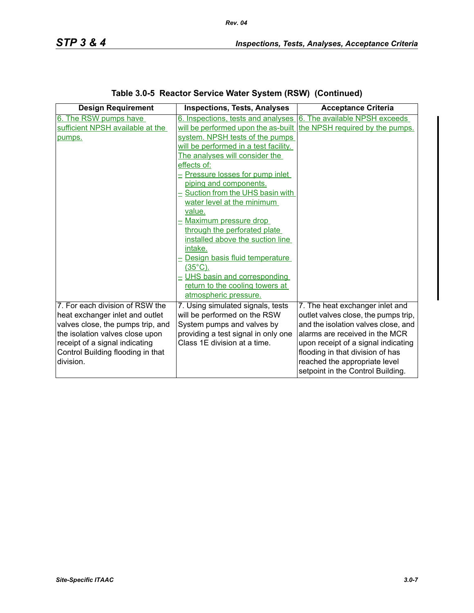| <b>Design Requirement</b>         | <b>Inspections, Tests, Analyses</b>                                 | <b>Acceptance Criteria</b>           |
|-----------------------------------|---------------------------------------------------------------------|--------------------------------------|
| 6. The RSW pumps have             | 6. Inspections, tests and analyses                                  | 6. The available NPSH exceeds        |
| sufficient NPSH available at the  | will be performed upon the as-built the NPSH required by the pumps. |                                      |
| pumps.                            | system. NPSH tests of the pumps                                     |                                      |
|                                   | will be performed in a test facility.                               |                                      |
|                                   | The analyses will consider the                                      |                                      |
|                                   | effects of:                                                         |                                      |
|                                   | Pressure losses for pump inlet                                      |                                      |
|                                   | piping and components.                                              |                                      |
|                                   | Suction from the UHS basin with                                     |                                      |
|                                   | water level at the minimum                                          |                                      |
|                                   | value.                                                              |                                      |
|                                   | Maximum pressure drop                                               |                                      |
|                                   | through the perforated plate                                        |                                      |
|                                   | installed above the suction line                                    |                                      |
|                                   | intake.                                                             |                                      |
|                                   | Design basis fluid temperature                                      |                                      |
|                                   | $(35^{\circ}C).$                                                    |                                      |
|                                   | - UHS basin and corresponding                                       |                                      |
|                                   | return to the cooling towers at                                     |                                      |
|                                   | atmospheric pressure.                                               |                                      |
| 7. For each division of RSW the   | 7. Using simulated signals, tests                                   | 7. The heat exchanger inlet and      |
| heat exchanger inlet and outlet   | will be performed on the RSW                                        | outlet valves close, the pumps trip, |
| valves close, the pumps trip, and | System pumps and valves by                                          | and the isolation valves close, and  |
| the isolation valves close upon   | providing a test signal in only one                                 | alarms are received in the MCR       |
| receipt of a signal indicating    | Class 1E division at a time.                                        | upon receipt of a signal indicating  |
| Control Building flooding in that |                                                                     | flooding in that division of has     |
| division.                         |                                                                     | reached the appropriate level        |
|                                   |                                                                     | setpoint in the Control Building.    |

**Table 3.0-5 Reactor Service Water System (RSW) (Continued)**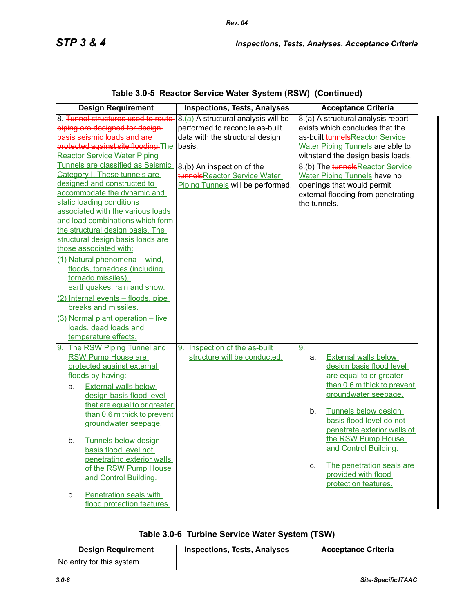| <b>Design Requirement</b>                                                                                                                                                                                                                                                                                                                                                                                                                                                                                                                                                                                           | <b>Inspections, Tests, Analyses</b>                                                                                 | <b>Acceptance Criteria</b>                                                                                                                                                                                                                                                                                                                                                             |
|---------------------------------------------------------------------------------------------------------------------------------------------------------------------------------------------------------------------------------------------------------------------------------------------------------------------------------------------------------------------------------------------------------------------------------------------------------------------------------------------------------------------------------------------------------------------------------------------------------------------|---------------------------------------------------------------------------------------------------------------------|----------------------------------------------------------------------------------------------------------------------------------------------------------------------------------------------------------------------------------------------------------------------------------------------------------------------------------------------------------------------------------------|
| 8. Tunnel structures used to route<br>piping are designed for design-<br>basis seismic loads and are-<br>protected against site flooding. The<br><b>Reactor Service Water Piping</b>                                                                                                                                                                                                                                                                                                                                                                                                                                | 8.(a) A structural analysis will be<br>performed to reconcile as-built<br>data with the structural design<br>basis. | 8.(a) A structural analysis report<br>exists which concludes that the<br>as-built tunnelsReactor Service<br><b>Water Piping Tunnels are able to</b><br>withstand the design basis loads.                                                                                                                                                                                               |
| Tunnels are classified as Seismic<br>Category I. These tunnels are<br>designed and constructed to<br>accommodate the dynamic and<br>static loading conditions<br>associated with the various loads<br>and load combinations which form<br>the structural design basis. The<br>structural design basis loads are<br>those associated with:<br>(1) Natural phenomena - wind,<br>floods, tornadoes (including<br>tornado missiles).<br>earthquakes, rain and snow.<br>(2) Internal events - floods, pipe<br>breaks and missiles.<br>(3) Normal plant operation - live<br>loads, dead loads and<br>temperature effects. | 8.(b) An inspection of the<br>tunnelsReactor Service Water<br>Piping Tunnels will be performed.                     | 8.(b) The tunnels Reactor Service<br><b>Water Piping Tunnels have no</b><br>openings that would permit<br>external flooding from penetrating<br>the tunnels.                                                                                                                                                                                                                           |
| The RSW Piping Tunnel and<br><u>9.</u><br><b>RSW Pump House are</b><br>protected against external<br>floods by having:<br><b>External walls below</b><br>a.<br>design basis flood level<br>that are equal to or greater<br>than 0.6 m thick to prevent<br>groundwater seepage.<br>Tunnels below design<br>b.<br>basis flood level not<br>penetrating exterior walls<br>of the RSW Pump House<br>and Control Building.<br>Penetration seals with<br>C.<br>flood protection features.                                                                                                                                 | 9. Inspection of the as-built<br>structure will be conducted.                                                       | <u>9.</u><br><b>External walls below</b><br>a.<br>design basis flood level<br>are equal to or greater<br>than 0.6 m thick to prevent<br>groundwater seepage.<br>Tunnels below design<br>b.<br>basis flood level do not<br>penetrate exterior walls of<br>the RSW Pump House<br>and Control Building.<br>The penetration seals are<br>C.<br>provided with flood<br>protection features. |

# **Table 3.0-5 Reactor Service Water System (RSW) (Continued)**

|  | Table 3.0-6 Turbine Service Water System (TSW) |  |  |
|--|------------------------------------------------|--|--|
|--|------------------------------------------------|--|--|

| <b>Design Requirement</b> | <b>Inspections, Tests, Analyses</b> | <b>Acceptance Criteria</b> |
|---------------------------|-------------------------------------|----------------------------|
| No entry for this system. |                                     |                            |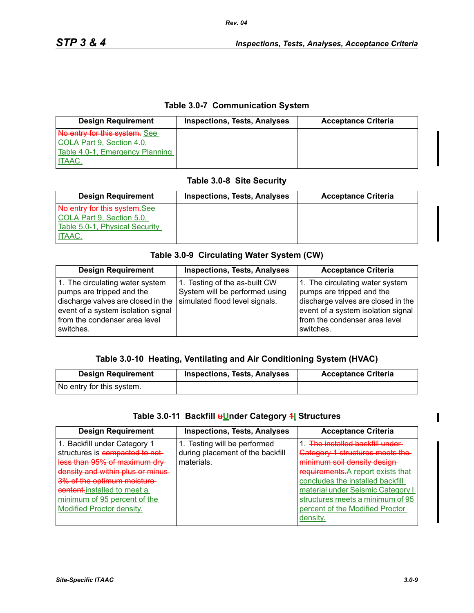### **Table 3.0-7 Communication System**

| <b>Design Requirement</b>       | <b>Inspections, Tests, Analyses</b> | <b>Acceptance Criteria</b> |
|---------------------------------|-------------------------------------|----------------------------|
| No entry for this system. See   |                                     |                            |
| COLA Part 9, Section 4.0,       |                                     |                            |
| Table 4.0-1, Emergency Planning |                                     |                            |
| ITAAC.                          |                                     |                            |

### **Table 3.0-8 Site Security**

| <b>Design Requirement</b>      | <b>Inspections, Tests, Analyses</b> | <b>Acceptance Criteria</b> |
|--------------------------------|-------------------------------------|----------------------------|
| No entry for this system. See  |                                     |                            |
| COLA Part 9, Section 5.0,      |                                     |                            |
| Table 5.0-1, Physical Security |                                     |                            |
| ITAAC.                         |                                     |                            |

### **Table 3.0-9 Circulating Water System (CW)**

| <b>Design Requirement</b>                                                                                                                                                              | <b>Inspections, Tests, Analyses</b>                                                               | <b>Acceptance Criteria</b>                                                                                                                                                             |
|----------------------------------------------------------------------------------------------------------------------------------------------------------------------------------------|---------------------------------------------------------------------------------------------------|----------------------------------------------------------------------------------------------------------------------------------------------------------------------------------------|
| 1. The circulating water system<br>pumps are tripped and the<br>discharge valves are closed in the<br>event of a system isolation signal<br>from the condenser area level<br>switches. | 1. Testing of the as-built CW<br>System will be performed using<br>simulated flood level signals. | 1. The circulating water system<br>pumps are tripped and the<br>discharge valves are closed in the<br>event of a system isolation signal<br>from the condenser area level<br>switches. |

## **Table 3.0-10 Heating, Ventilating and Air Conditioning System (HVAC)**

| <b>Design Requirement</b> | <b>Inspections, Tests, Analyses</b> | <b>Acceptance Criteria</b> |
|---------------------------|-------------------------------------|----------------------------|
| No entry for this system. |                                     |                            |

#### Table 3.0-11 Backfill **uU**nder Category <sup>41</sup> Structures

| <b>Design Requirement</b>        | <b>Inspections, Tests, Analyses</b> | <b>Acceptance Criteria</b>             |
|----------------------------------|-------------------------------------|----------------------------------------|
| 1. Backfill under Category 1     | 1. Testing will be performed        | The installed backfill under-          |
| structures is compacted to not   | during placement of the backfill    | <b>Category 1 structures meets the</b> |
| less than 95% of maximum dry     | materials.                          | minimum soil density design            |
| density and within plus or minus |                                     | requirements. A report exists that     |
| 3% of the optimum moisture-      |                                     | concludes the installed backfill       |
| content-installed to meet a      |                                     | material under Seismic Category I      |
| minimum of 95 percent of the     |                                     | structures meets a minimum of 95       |
| <b>Modified Proctor density.</b> |                                     | percent of the Modified Proctor        |
|                                  |                                     | density.                               |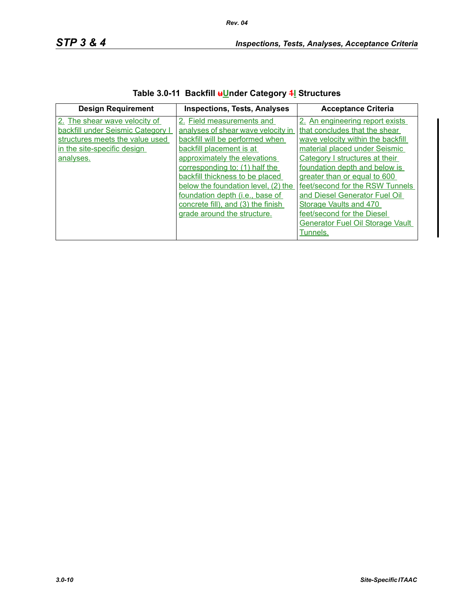| <b>Design Requirement</b>                                                                                                                         | <b>Inspections, Tests, Analyses</b>                                                                                                                                                                                                                                        | <b>Acceptance Criteria</b>                                                                                                                                                                                                                                                   |
|---------------------------------------------------------------------------------------------------------------------------------------------------|----------------------------------------------------------------------------------------------------------------------------------------------------------------------------------------------------------------------------------------------------------------------------|------------------------------------------------------------------------------------------------------------------------------------------------------------------------------------------------------------------------------------------------------------------------------|
| 2. The shear wave velocity of<br>backfill under Seismic Category I<br>structures meets the value used<br>in the site-specific design<br>analyses. | 2. Field measurements and<br>analyses of shear wave velocity in<br>backfill will be performed when<br>backfill placement is at<br>approximately the elevations<br>corresponding to: (1) half the<br>backfill thickness to be placed<br>below the foundation level, (2) the | 2. An engineering report exists<br>that concludes that the shear<br>wave velocity within the backfill<br>material placed under Seismic<br>Category I structures at their<br>foundation depth and below is<br>greater than or equal to 600<br>feet/second for the RSW Tunnels |
|                                                                                                                                                   | foundation depth (i.e., base of<br>concrete fill), and (3) the finish<br>grade around the structure.                                                                                                                                                                       | and Diesel Generator Fuel Oil<br>Storage Vaults and 470<br>feet/second for the Diesel<br><b>Generator Fuel Oil Storage Vault</b><br>Tunnels.                                                                                                                                 |

# Table 3.0-11 Backfill **uU**nder Category <sup>41</sup> Structures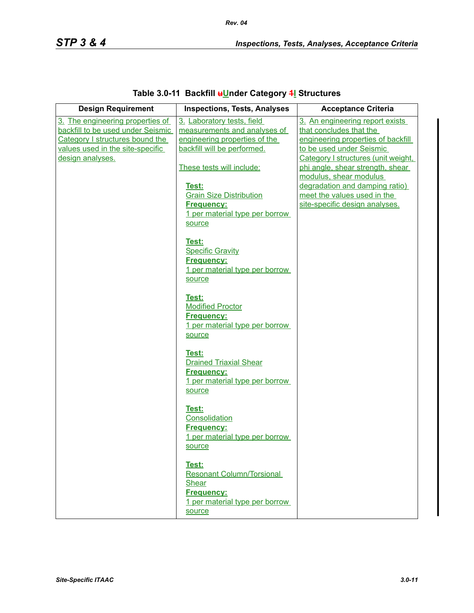| <b>Design Requirement</b>                                                                                                                                        | <b>Inspections, Tests, Analyses</b>                                                                                                                                                                                            | <b>Acceptance Criteria</b>                                                                                                                                                                                                                                                                                                           |
|------------------------------------------------------------------------------------------------------------------------------------------------------------------|--------------------------------------------------------------------------------------------------------------------------------------------------------------------------------------------------------------------------------|--------------------------------------------------------------------------------------------------------------------------------------------------------------------------------------------------------------------------------------------------------------------------------------------------------------------------------------|
| 3. The engineering properties of<br>backfill to be used under Seismic<br>Category I structures bound the<br>values used in the site-specific<br>design analyses. | 3. Laboratory tests, field<br>measurements and analyses of<br>engineering properties of the<br>backfill will be performed.<br>These tests will include:<br><u>Test:</u><br><b>Grain Size Distribution</b><br><b>Frequency:</b> | 3. An engineering report exists<br>that concludes that the<br>engineering properties of backfill<br>to be used under Seismic<br>Category I structures (unit weight,<br>phi angle, shear strength, shear<br>modulus, shear modulus<br>degradation and damping ratio)<br>meet the values used in the<br>site-specific design analyses. |
|                                                                                                                                                                  | 1 per material type per borrow<br>source<br><u>Test:</u><br><b>Specific Gravity</b><br><b>Frequency:</b><br>1 per material type per borrow<br>source                                                                           |                                                                                                                                                                                                                                                                                                                                      |
|                                                                                                                                                                  | <u>Test:</u><br><b>Modified Proctor</b><br><b>Frequency:</b><br>1 per material type per borrow<br>source                                                                                                                       |                                                                                                                                                                                                                                                                                                                                      |
|                                                                                                                                                                  | Test:<br><b>Drained Triaxial Shear</b><br><b>Frequency:</b><br>1 per material type per borrow<br>source                                                                                                                        |                                                                                                                                                                                                                                                                                                                                      |
|                                                                                                                                                                  | Test:<br>Consolidation<br><b>Frequency:</b><br>1 per material type per borrow<br>source                                                                                                                                        |                                                                                                                                                                                                                                                                                                                                      |
|                                                                                                                                                                  | Test:<br><b>Resonant Column/Torsional</b><br><b>Shear</b><br><b>Frequency:</b><br>1 per material type per borrow<br>source                                                                                                     |                                                                                                                                                                                                                                                                                                                                      |

# Table 3.0-11 Backfill **uU**nder Category <sup>41</sup> Structures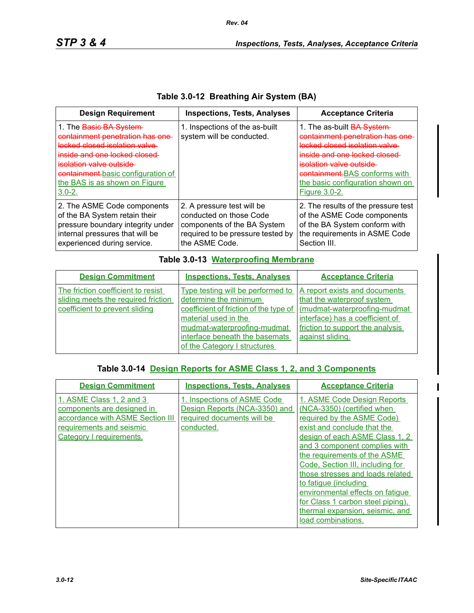|  |  | Table 3.0-12 Breathing Air System (BA) |
|--|--|----------------------------------------|
|--|--|----------------------------------------|

| <b>Design Requirement</b>                                                                                                                                                                                                                    | <b>Inspections, Tests, Analyses</b>                                                                                                         | <b>Acceptance Criteria</b>                                                                                                                                                                                                                                     |
|----------------------------------------------------------------------------------------------------------------------------------------------------------------------------------------------------------------------------------------------|---------------------------------------------------------------------------------------------------------------------------------------------|----------------------------------------------------------------------------------------------------------------------------------------------------------------------------------------------------------------------------------------------------------------|
| 1. The Basic BA System<br>containment penetration has one<br>locked closed isolation valve.<br>inside and one locked closed<br>isolation valve outside.<br>containment basic configuration of<br>the BAS is as shown on Figure<br>$3.0 - 2.$ | 1. Inspections of the as-built<br>system will be conducted.                                                                                 | 1. The as-built <b>BA System</b><br>containment penetration has one<br>locked closed isolation valve.<br>inside and one locked closed<br>isolation valve outside<br>containment. BAS conforms with<br>the basic configuration shown on<br><b>Figure 3.0-2.</b> |
| 2. The ASME Code components<br>of the BA System retain their<br>pressure boundary integrity under<br>internal pressures that will be<br>experienced during service.                                                                          | 2. A pressure test will be<br>conducted on those Code<br>components of the BA System<br>required to be pressure tested by<br>the ASME Code. | 2. The results of the pressure test<br>of the ASME Code components<br>of the BA System conform with<br>the requirements in ASME Code<br>Section III.                                                                                                           |

## **Table 3.0-13 Waterproofing Membrane**

| <b>Design Commitment</b>                                                                                    | <b>Inspections, Tests, Analyses</b>                                                                                                                                                                                                                                                        | <b>Acceptance Criteria</b>                                                                                            |
|-------------------------------------------------------------------------------------------------------------|--------------------------------------------------------------------------------------------------------------------------------------------------------------------------------------------------------------------------------------------------------------------------------------------|-----------------------------------------------------------------------------------------------------------------------|
| The friction coefficient to resist<br>sliding meets the required friction<br>coefficient to prevent sliding | Type testing will be performed to A report exists and documents<br>determine the minimum<br>coefficient of friction of the type of   (mudmat-waterproofing-mudmat<br>material used in the<br>mudmat-waterproofing-mudmat<br>interface beneath the basemats<br>of the Category I structures | that the waterproof system<br>interface) has a coefficient of<br>friction to support the analysis<br>against sliding. |

## **Table 3.0-14 Design Reports for ASME Class 1, 2, and 3 Components**

| <b>Design Commitment</b>         | <b>Inspections, Tests, Analyses</b> | <b>Acceptance Criteria</b>        |
|----------------------------------|-------------------------------------|-----------------------------------|
| 1. ASME Class 1, 2 and 3         | 1. Inspections of ASME Code         | 1. ASME Code Design Reports       |
| components are designed in       | Design Reports (NCA-3350) and       | (NCA-3350) (certified when        |
| accordance with ASME Section III | required documents will be          | required by the ASME Code)        |
| requirements and seismic         | conducted.                          | exist and conclude that the       |
| Category I requirements.         |                                     | design of each ASME Class 1, 2    |
|                                  |                                     | and 3 component complies with     |
|                                  |                                     | the requirements of the ASME      |
|                                  |                                     | Code, Section III, including for  |
|                                  |                                     | those stresses and loads related  |
|                                  |                                     | to fatigue (including             |
|                                  |                                     | environmental effects on fatigue  |
|                                  |                                     | for Class 1 carbon steel piping), |
|                                  |                                     | thermal expansion, seismic, and   |
|                                  |                                     | load combinations.                |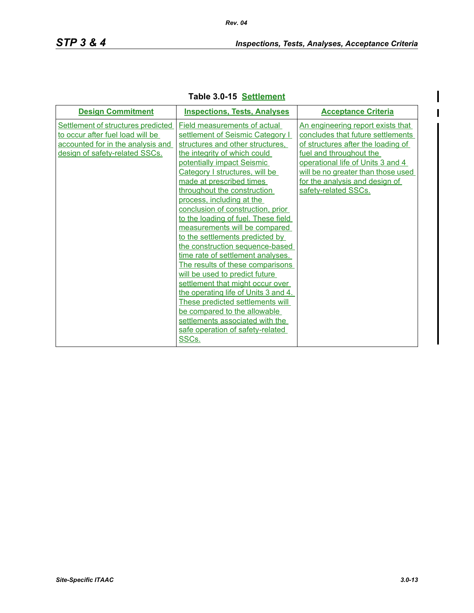$\mathsf{l}$ 

# **Table 3.0-15 Settlement**

| <b>Design Commitment</b>                                                                                                                      | <b>Inspections, Tests, Analyses</b>                                                                                                                                                                                                                                                                                                                                                                                                                                                                                                                                                                                                                                                                                                                                                                                                    | <b>Acceptance Criteria</b>                                                                                                                                                                                                                                                   |
|-----------------------------------------------------------------------------------------------------------------------------------------------|----------------------------------------------------------------------------------------------------------------------------------------------------------------------------------------------------------------------------------------------------------------------------------------------------------------------------------------------------------------------------------------------------------------------------------------------------------------------------------------------------------------------------------------------------------------------------------------------------------------------------------------------------------------------------------------------------------------------------------------------------------------------------------------------------------------------------------------|------------------------------------------------------------------------------------------------------------------------------------------------------------------------------------------------------------------------------------------------------------------------------|
| Settlement of structures predicted<br>to occur after fuel load will be<br>accounted for in the analysis and<br>design of safety-related SSCs. | Field measurements of actual<br>settlement of Seismic Category I<br>structures and other structures,<br>the integrity of which could<br>potentially impact Seismic<br>Category I structures, will be<br>made at prescribed times<br>throughout the construction<br>process, including at the<br>conclusion of construction, prior<br>to the loading of fuel. These field<br>measurements will be compared<br>to the settlements predicted by<br>the construction sequence-based<br>time rate of settlement analyses.<br>The results of these comparisons<br>will be used to predict future<br>settlement that might occur over<br>the operating life of Units 3 and 4.<br>These predicted settlements will<br>be compared to the allowable<br>settlements associated with the<br>safe operation of safety-related<br>SSC <sub>s.</sub> | An engineering report exists that<br>concludes that future settlements<br>of structures after the loading of<br>fuel and throughout the<br>operational life of Units 3 and 4<br>will be no greater than those used<br>for the analysis and design of<br>safety-related SSCs. |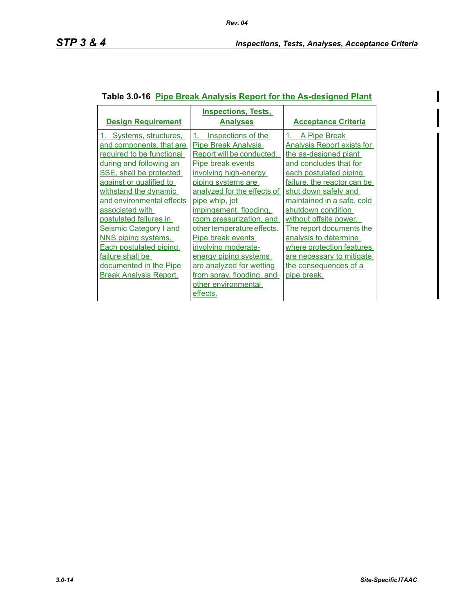$\mathsf{l}$ 

|                                                                                                                                                                                                                                                                                                                                    | <b>Inspections, Tests,</b>                                                                                                                                                                                                                                                                                             |                                                                                                                                                                                                                                                                                                                                  |
|------------------------------------------------------------------------------------------------------------------------------------------------------------------------------------------------------------------------------------------------------------------------------------------------------------------------------------|------------------------------------------------------------------------------------------------------------------------------------------------------------------------------------------------------------------------------------------------------------------------------------------------------------------------|----------------------------------------------------------------------------------------------------------------------------------------------------------------------------------------------------------------------------------------------------------------------------------------------------------------------------------|
|                                                                                                                                                                                                                                                                                                                                    |                                                                                                                                                                                                                                                                                                                        |                                                                                                                                                                                                                                                                                                                                  |
| <b>Design Requirement</b><br><u>1. Systems, structures,</u><br>and components, that are<br>required to be functional<br>during and following an<br>SSE, shall be protected<br>against or qualified to<br>withstand the dynamic<br>and environmental effects<br>associated with<br>postulated failures in<br>Seismic Category I and | <b>Analyses</b><br>Inspections of the<br>1.<br><b>Pipe Break Analysis</b><br>Report will be conducted.<br>Pipe break events<br>involving high-energy<br>piping systems are<br>analyzed for the effects of<br><u>pipe whip, jet</u><br>impingement, flooding,<br>room pressurization, and<br>other temperature effects. | <b>Acceptance Criteria</b><br>1. A Pipe Break<br><b>Analysis Report exists for</b><br>the as-designed plant<br>and concludes that for<br>each postulated piping<br>failure, the reactor can be<br>shut down safely and<br>maintained in a safe, cold<br>shutdown condition<br>without offsite power.<br>The report documents the |
| NNS piping systems.<br><b>Each postulated piping</b><br>failure shall be<br>documented in the Pipe<br><b>Break Analysis Report.</b>                                                                                                                                                                                                | Pipe break events<br>involving moderate-<br>energy piping systems<br>are analyzed for wetting<br>from spray, flooding, and<br>other environmental<br>effects.                                                                                                                                                          | analysis to determine<br>where protection features<br>are necessary to mitigate<br>the consequences of a<br>pipe break.                                                                                                                                                                                                          |

## **Table 3.0-16 Pipe Break Analysis Report for the As-designed Plant**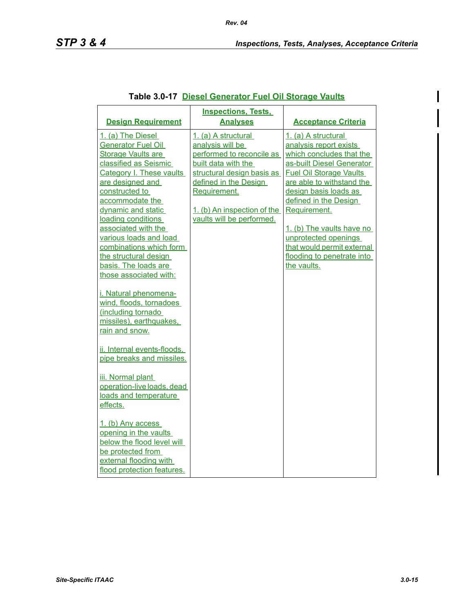ı

| <b>Design Requirement</b>                                                                                                                                                                                                                                                                                                                                                                    | <b>Inspections, Tests.</b><br><b>Analyses</b>                                                                                                                                                                                  | <b>Acceptance Criteria</b>                                                                                                                                                                                                                                                                                                                                              |
|----------------------------------------------------------------------------------------------------------------------------------------------------------------------------------------------------------------------------------------------------------------------------------------------------------------------------------------------------------------------------------------------|--------------------------------------------------------------------------------------------------------------------------------------------------------------------------------------------------------------------------------|-------------------------------------------------------------------------------------------------------------------------------------------------------------------------------------------------------------------------------------------------------------------------------------------------------------------------------------------------------------------------|
| 1. (a) The Diesel<br><b>Generator Fuel Oil</b><br><b>Storage Vaults are</b><br>classified as Seismic<br>Category I. These vaults<br>are designed and<br>constructed to<br>accommodate the<br>dynamic and static<br>loading conditions<br>associated with the<br>various loads and load<br>combinations which form<br>the structural design<br>basis. The loads are<br>those associated with: | 1. (a) A structural<br>analysis will be<br>performed to reconcile as<br>built data with the<br>structural design basis as<br>defined in the Design<br>Requirement.<br>1. (b) An inspection of the<br>vaults will be performed. | 1. (a) A structural<br>analysis report exists<br>which concludes that the<br>as-built Diesel Generator<br><b>Fuel Oil Storage Vaults</b><br>are able to withstand the<br>design basis loads as<br>defined in the Design<br>Requirement.<br>1. (b) The vaults have no<br>unprotected openings<br>that would permit external<br>flooding to penetrate into<br>the vaults. |
| i. Natural phenomena-<br>wind, floods, tornadoes<br>(including tornado<br>missiles), earthquakes,<br>rain and snow.                                                                                                                                                                                                                                                                          |                                                                                                                                                                                                                                |                                                                                                                                                                                                                                                                                                                                                                         |
| ii. Internal events-floods,<br>pipe breaks and missiles.                                                                                                                                                                                                                                                                                                                                     |                                                                                                                                                                                                                                |                                                                                                                                                                                                                                                                                                                                                                         |
| iii. Normal plant<br>operation-live loads, dead<br>loads and temperature<br>effects.                                                                                                                                                                                                                                                                                                         |                                                                                                                                                                                                                                |                                                                                                                                                                                                                                                                                                                                                                         |
| 1. (b) Any access<br>opening in the vaults<br>below the flood level will<br>be protected from<br>external flooding with<br>flood protection features.                                                                                                                                                                                                                                        |                                                                                                                                                                                                                                |                                                                                                                                                                                                                                                                                                                                                                         |

## **Table 3.0-17 Diesel Generator Fuel Oil Storage Vaults**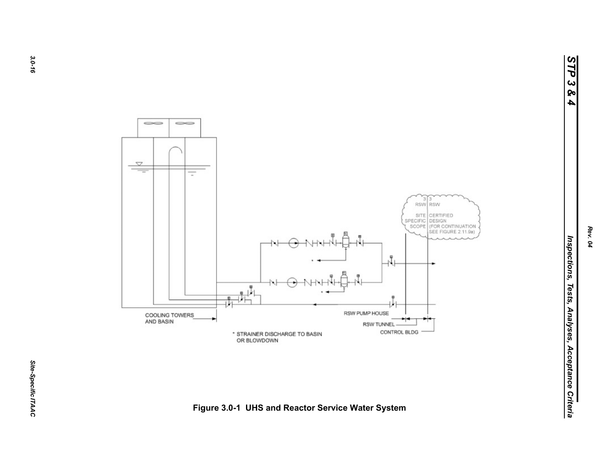